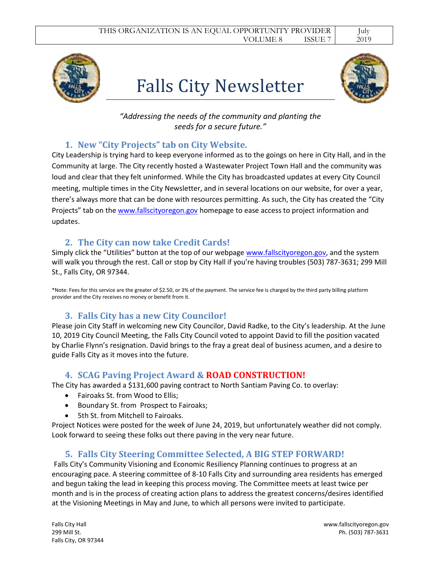# Falls City Newsletter



*"Addressing the needs of the community and planting the seeds for a secure future."*

### **1. New "City Projects" tab on City Website.**

City Leadership is trying hard to keep everyone informed as to the goings on here in City Hall, and in the Community at large. The City recently hosted a Wastewater Project Town Hall and the community was loud and clear that they felt uninformed. While the City has broadcasted updates at every City Council meeting, multiple times in the City Newsletter, and in several locations on our website, for over a year, there's always more that can be done with resources permitting. As such, the City has created the "City Projects" tab on the [www.fallscityoregon.gov](http://www.fallscityoregon.gov/) homepage to ease access to project information and updates.

### **2. The City can now take Credit Cards!**

Simply click the "Utilities" button at the top of our webpage [www.fallscityoregon.gov,](http://www.fallscityoregon.gov/) and the system will walk you through the rest. Call or stop by City Hall if you're having troubles (503) 787-3631; 299 Mill St., Falls City, OR 97344.

\*Note: Fees for this service are the greater of \$2.50, or 3% of the payment. The service fee is charged by the third party billing platform provider and the City receives no money or benefit from it.

### **3. Falls City has a new City Councilor!**

Please join City Staff in welcoming new City Councilor, David Radke, to the City's leadership. At the June 10, 2019 City Council Meeting, the Falls City Council voted to appoint David to fill the position vacated by Charlie Flynn's resignation. David brings to the fray a great deal of business acumen, and a desire to guide Falls City as it moves into the future.

### **4. SCAG Paving Project Award & ROAD CONSTRUCTION!**

The City has awarded a \$131,600 paving contract to North Santiam Paving Co. to overlay:

- Fairoaks St. from Wood to Ellis;
- Boundary St. from Prospect to Fairoaks;
- 5th St. from Mitchell to Fairoaks.

Project Notices were posted for the week of June 24, 2019, but unfortunately weather did not comply. Look forward to seeing these folks out there paving in the very near future.

### **5. Falls City Steering Committee Selected, A BIG STEP FORWARD!**

Falls City's Community Visioning and Economic Resiliency Planning continues to progress at an encouraging pace. A steering committee of 8-10 Falls City and surrounding area residents has emerged and begun taking the lead in keeping this process moving. The Committee meets at least twice per month and is in the process of creating action plans to address the greatest concerns/desires identified at the Visioning Meetings in May and June, to which all persons were invited to participate.

Falls City, OR 97344

Falls City Hall www.fallscityoregon.gov 299 Mill St. Ph. (503) 787-3631